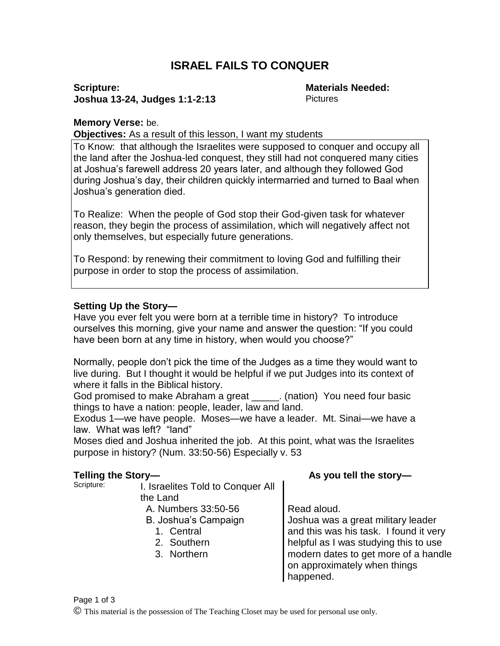# **ISRAEL FAILS TO CONQUER**

### **Scripture: Joshua 13-24, Judges 1:1-2:13**

**Materials Needed: Pictures** 

#### **Memory Verse:** be.

**Objectives:** As a result of this lesson, I want my students

To Know: that although the Israelites were supposed to conquer and occupy all the land after the Joshua-led conquest, they still had not conquered many cities at Joshua's farewell address 20 years later, and although they followed God during Joshua's day, their children quickly intermarried and turned to Baal when Joshua's generation died.

To Realize: When the people of God stop their God-given task for whatever reason, they begin the process of assimilation, which will negatively affect not only themselves, but especially future generations.

To Respond: by renewing their commitment to loving God and fulfilling their purpose in order to stop the process of assimilation.

## **Setting Up the Story—**

Have you ever felt you were born at a terrible time in history? To introduce ourselves this morning, give your name and answer the question: "If you could have been born at any time in history, when would you choose?"

Normally, people don't pick the time of the Judges as a time they would want to live during. But I thought it would be helpful if we put Judges into its context of where it falls in the Biblical history.

God promised to make Abraham a great \_\_\_\_\_. (nation) You need four basic things to have a nation: people, leader, law and land.

Exodus 1—we have people. Moses—we have a leader. Mt. Sinai—we have a law. What was left? "land"

Moses died and Joshua inherited the job. At this point, what was the Israelites purpose in history? (Num. 33:50-56) Especially v. 53

- **Telling the Story— As you tell the story— As you tell the story— As you tell the story** I. Israelites Told to Conquer All the Land A. Numbers  $33:50-56$  Read aloud.
	- B. Joshua's Campaign
		- 1. Central
		- 2. Southern
		- 3. Northern

Joshua was a great military leader and this was his task. I found it very helpful as I was studying this to use modern dates to get more of a handle on approximately when things happened.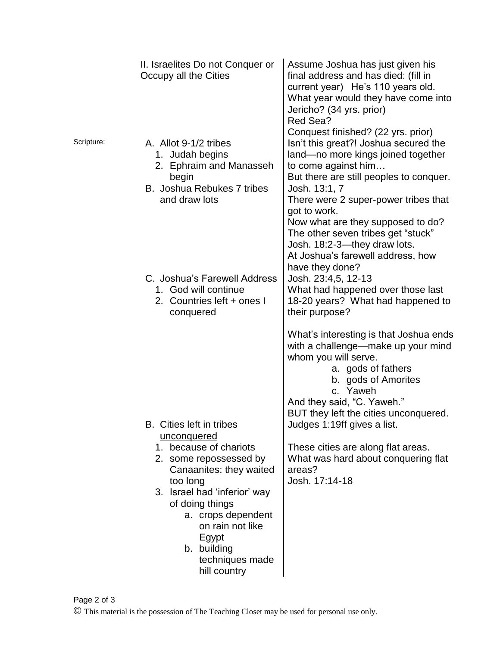|            | II. Israelites Do not Conquer or<br>Occupy all the Cities                                                                                                                                                                                                             | Assume Joshua has just given his<br>final address and has died: (fill in<br>current year) He's 110 years old.<br>What year would they have come into<br>Jericho? (34 yrs. prior)<br>Red Sea?                                                                                                                                                                                                                 |
|------------|-----------------------------------------------------------------------------------------------------------------------------------------------------------------------------------------------------------------------------------------------------------------------|--------------------------------------------------------------------------------------------------------------------------------------------------------------------------------------------------------------------------------------------------------------------------------------------------------------------------------------------------------------------------------------------------------------|
| Scripture: | A. Allot 9-1/2 tribes<br>1. Judah begins<br>2. Ephraim and Manasseh<br>begin<br>B. Joshua Rebukes 7 tribes<br>and draw lots                                                                                                                                           | Conquest finished? (22 yrs. prior)<br>Isn't this great?! Joshua secured the<br>land-no more kings joined together<br>to come against him<br>But there are still peoples to conquer.<br>Josh. 13:1, 7<br>There were 2 super-power tribes that<br>got to work.<br>Now what are they supposed to do?<br>The other seven tribes get "stuck"<br>Josh. 18:2-3-they draw lots.<br>At Joshua's farewell address, how |
|            | C. Joshua's Farewell Address<br>1. God will continue<br>2. Countries left + ones I<br>conquered                                                                                                                                                                       | have they done?<br>Josh. 23:4,5, 12-13<br>What had happened over those last<br>18-20 years? What had happened to<br>their purpose?                                                                                                                                                                                                                                                                           |
|            |                                                                                                                                                                                                                                                                       | What's interesting is that Joshua ends<br>with a challenge—make up your mind<br>whom you will serve.<br>a. gods of fathers<br>b. gods of Amorites<br>c. Yaweh<br>And they said, "C. Yaweh."<br>BUT they left the cities unconquered.                                                                                                                                                                         |
|            | <b>B.</b> Cities left in tribes                                                                                                                                                                                                                                       | Judges 1:19ff gives a list.                                                                                                                                                                                                                                                                                                                                                                                  |
|            | <u>unconquered</u><br>1. because of chariots<br>2. some repossessed by<br>Canaanites: they waited<br>too long<br>3. Israel had 'inferior' way<br>of doing things<br>a. crops dependent<br>on rain not like<br>Egypt<br>b. building<br>techniques made<br>hill country | These cities are along flat areas.<br>What was hard about conquering flat<br>areas?<br>Josh. 17:14-18                                                                                                                                                                                                                                                                                                        |